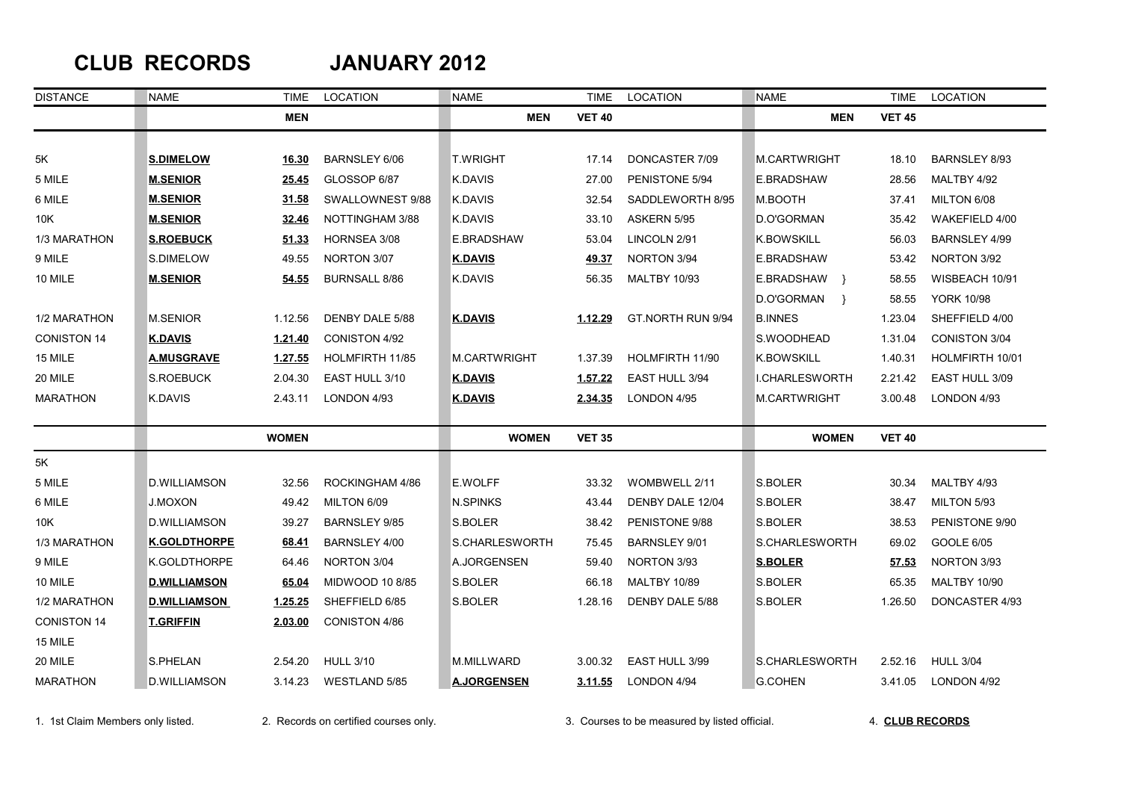## **CLUB RECORDS JANUARY 2012**

| <b>DISTANCE</b>    | <b>NAME</b>         | TIME         | LOCATION             | <b>NAME</b>         | TIME          | LOCATION             | NAME               | <b>TIME</b>   | LOCATION            |
|--------------------|---------------------|--------------|----------------------|---------------------|---------------|----------------------|--------------------|---------------|---------------------|
|                    |                     | <b>MEN</b>   |                      | <b>MEN</b>          | <b>VET 40</b> |                      | <b>MEN</b>         | <b>VET 45</b> |                     |
|                    |                     |              |                      |                     |               |                      |                    |               |                     |
| 5K                 | <b>S.DIMELOW</b>    | 16.30        | <b>BARNSLEY 6/06</b> | <b>T.WRIGHT</b>     | 17.14         | DONCASTER 7/09       | M.CARTWRIGHT       | 18.10         | BARNSLEY 8/93       |
| 5 MILE             | <b>M.SENIOR</b>     | 25.45        | GLOSSOP 6/87         | <b>K.DAVIS</b>      | 27.00         | PENISTONE 5/94       | E.BRADSHAW         | 28.56         | MALTBY 4/92         |
| 6 MILE             | <b>M.SENIOR</b>     | 31.58        | SWALLOWNEST 9/88     | K.DAVIS             | 32.54         | SADDLEWORTH 8/95     | M.BOOTH            | 37.41         | MILTON 6/08         |
| 10K                | <b>M.SENIOR</b>     | 32.46        | NOTTINGHAM 3/88      | K.DAVIS             | 33.10         | ASKERN 5/95          | D.O'GORMAN         | 35.42         | WAKEFIELD 4/00      |
| 1/3 MARATHON       | <b>S.ROEBUCK</b>    | 51.33        | HORNSEA 3/08         | E.BRADSHAW          | 53.04         | LINCOLN 2/91         | <b>K.BOWSKILL</b>  | 56.03         | BARNSLEY 4/99       |
| 9 MILE             | S.DIMELOW           | 49.55        | NORTON 3/07          | <b>K.DAVIS</b>      | 49.37         | NORTON 3/94          | E.BRADSHAW         | 53.42         | NORTON 3/92         |
| 10 MILE            | <b>M.SENIOR</b>     | 54.55        | <b>BURNSALL 8/86</b> | <b>K.DAVIS</b>      | 56.35         | <b>MALTBY 10/93</b>  | E.BRADSHAW }       | 58.55         | WISBEACH 10/91      |
|                    |                     |              |                      |                     |               |                      | D.O'GORMAN<br>$\}$ | 58.55         | <b>YORK 10/98</b>   |
| 1/2 MARATHON       | M.SENIOR            | 1.12.56      | DENBY DALE 5/88      | <b>K.DAVIS</b>      | 1.12.29       | GT.NORTH RUN 9/94    | <b>B.INNES</b>     | 1.23.04       | SHEFFIELD 4/00      |
| <b>CONISTON 14</b> | <u>K.DAVIS</u>      | 1.21.40      | <b>CONISTON 4/92</b> |                     |               |                      | S.WOODHEAD         | 1.31.04       | CONISTON 3/04       |
| 15 MILE            | <u>A.MUSGRAVE</u>   | 1.27.55      | HOLMFIRTH 11/85      | <b>M.CARTWRIGHT</b> | 1.37.39       | HOLMFIRTH 11/90      | <b>K.BOWSKILL</b>  | 1.40.31       | HOLMFIRTH 10/01     |
| 20 MILE            | S.ROEBUCK           | 2.04.30      | EAST HULL 3/10       | <b>K.DAVIS</b>      | 1.57.22       | EAST HULL 3/94       | I.CHARLESWORTH     | 2.21.42       | EAST HULL 3/09      |
| <b>MARATHON</b>    | K.DAVIS             | 2.43.11      | LONDON 4/93          | <u>K.DAVIS</u>      | 2.34.35       | LONDON 4/95          | M.CARTWRIGHT       | 3.00.48       | LONDON 4/93         |
|                    |                     | <b>WOMEN</b> |                      | <b>WOMEN</b>        | <b>VET 35</b> |                      | <b>WOMEN</b>       | <b>VET 40</b> |                     |
| 5K                 |                     |              |                      |                     |               |                      |                    |               |                     |
| 5 MILE             | D.WILLIAMSON        | 32.56        | ROCKINGHAM 4/86      | <b>E.WOLFF</b>      | 33.32         | WOMBWELL 2/11        | S.BOLER            | 30.34         | MALTBY 4/93         |
| 6 MILE             | <b>J.MOXON</b>      | 49.42        | MILTON 6/09          | <b>N.SPINKS</b>     | 43.44         | DENBY DALE 12/04     | S.BOLER            | 38.47         | MILTON 5/93         |
| 10K                | <b>D.WILLIAMSON</b> | 39.27        | <b>BARNSLEY 9/85</b> | S.BOLER             | 38.42         | PENISTONE 9/88       | S.BOLER            | 38.53         | PENISTONE 9/90      |
| 1/3 MARATHON       | <b>K.GOLDTHORPE</b> | 68.41        | <b>BARNSLEY 4/00</b> | S.CHARLESWORTH      | 75.45         | <b>BARNSLEY 9/01</b> | S.CHARLESWORTH     | 69.02         | GOOLE 6/05          |
| 9 MILE             | K.GOLDTHORPE        | 64.46        | NORTON 3/04          | A.JORGENSEN         | 59.40         | NORTON 3/93          | <b>S.BOLER</b>     | 57.53         | NORTON 3/93         |
| 10 MILE            | <b>D.WILLIAMSON</b> | 65.04        | MIDWOOD 10 8/85      | S.BOLER             | 66.18         | <b>MALTBY 10/89</b>  | S.BOLER            | 65.35         | <b>MALTBY 10/90</b> |
| 1/2 MARATHON       | <b>D.WILLIAMSON</b> | 1.25.25      | SHEFFIELD 6/85       | S.BOLER             | 1.28.16       | DENBY DALE 5/88      | S.BOLER            | 1.26.50       | DONCASTER 4/93      |
| <b>CONISTON 14</b> | <b>T.GRIFFIN</b>    | 2.03.00      | CONISTON 4/86        |                     |               |                      |                    |               |                     |
| 15 MILE            |                     |              |                      |                     |               |                      |                    |               |                     |
| 20 MILE            | S.PHELAN            | 2.54.20      | <b>HULL 3/10</b>     | M.MILLWARD          | 3.00.32       | EAST HULL 3/99       | S.CHARLESWORTH     | 2.52.16       | <b>HULL 3/04</b>    |
| <b>MARATHON</b>    | <b>D.WILLIAMSON</b> | 3.14.23      | WESTLAND 5/85        | <b>A.JORGENSEN</b>  | 3.11.55       | LONDON 4/94          | <b>G.COHEN</b>     | 3.41.05       | LONDON 4/92         |

1. 1st Claim Members only listed. 2. Records on certified courses only. 3. Courses to be measured by listed official. 4. **CLUB RECORDS**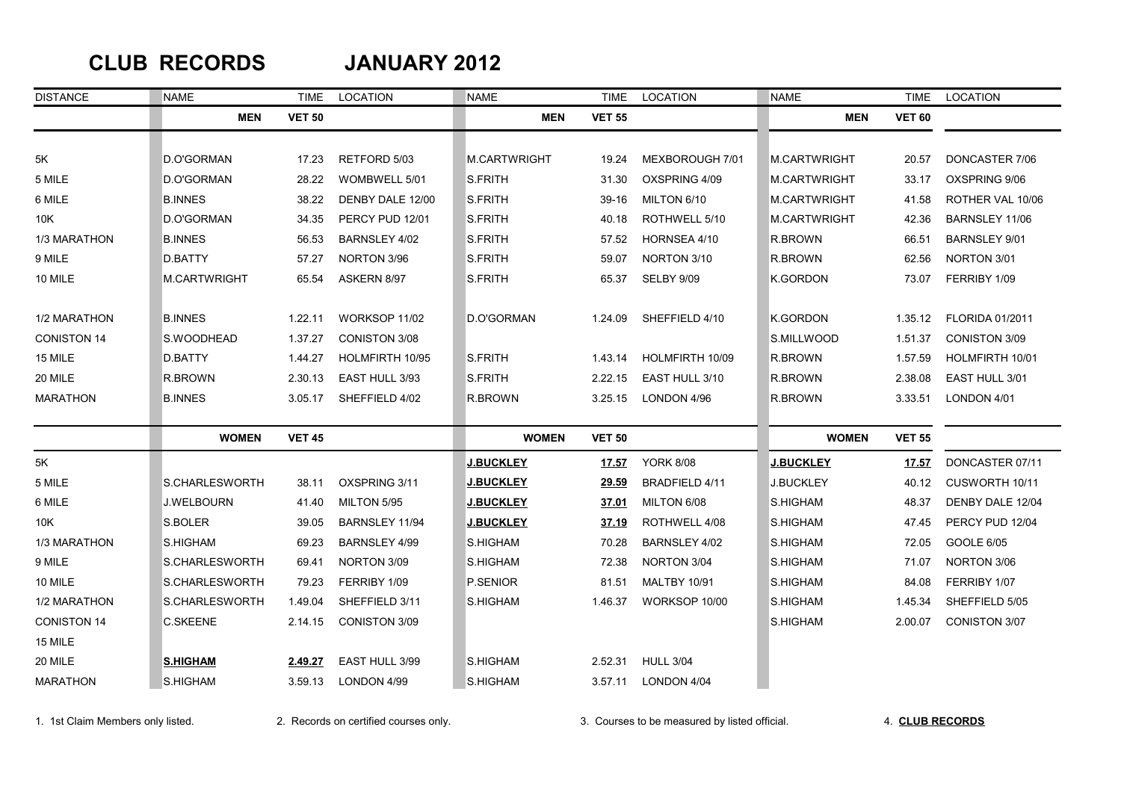### **CLUB RECORDS JANUARY 2012**

| <b>DISTANCE</b>    | NAME            | TIME          | LOCATION               | <b>NAME</b>      | TIME          | LOCATION              | <b>NAME</b>         | TIME          | LOCATION               |
|--------------------|-----------------|---------------|------------------------|------------------|---------------|-----------------------|---------------------|---------------|------------------------|
|                    | <b>MEN</b>      | <b>VET 50</b> |                        | <b>MEN</b>       | <b>VET 55</b> |                       | <b>MEN</b>          | <b>VET 60</b> |                        |
|                    |                 |               |                        |                  |               |                       |                     |               |                        |
| 5K                 | D.O'GORMAN      | 17.23         | RETFORD 5/03           | M.CARTWRIGHT     | 19.24         | MEXBOROUGH 7/01       | <b>M.CARTWRIGHT</b> | 20.57         | DONCASTER 7/06         |
| 5 MILE             | D.O'GORMAN      | 28.22         | WOMBWELL 5/01          | S.FRITH          | 31.30         | OXSPRING 4/09         | M.CARTWRIGHT        | 33.17         | OXSPRING 9/06          |
| 6 MILE             | <b>B.INNES</b>  | 38.22         | DENBY DALE 12/00       | S.FRITH          | 39-16         | MILTON 6/10           | <b>M.CARTWRIGHT</b> | 41.58         | ROTHER VAL 10/06       |
| 10K                | D.O'GORMAN      | 34.35         | PERCY PUD 12/01        | <b>S.FRITH</b>   | 40.18         | ROTHWELL 5/10         | <b>M.CARTWRIGHT</b> | 42.36         | BARNSLEY 11/06         |
| 1/3 MARATHON       | <b>B.INNES</b>  | 56.53         | BARNSLEY 4/02          | S.FRITH          | 57.52         | HORNSEA 4/10          | R.BROWN             | 66.51         | <b>BARNSLEY 9/01</b>   |
| 9 MILE             | D.BATTY         | 57.27         | NORTON 3/96            | S.FRITH          | 59.07         | NORTON 3/10           | R.BROWN             | 62.56         | NORTON 3/01            |
| 10 MILE            | M.CARTWRIGHT    | 65.54         | ASKERN 8/97            | S.FRITH          | 65.37         | SELBY 9/09            | K.GORDON            | 73.07         | FERRIBY 1/09           |
|                    |                 |               |                        |                  |               |                       |                     |               |                        |
| 1/2 MARATHON       | <b>B.INNES</b>  | 1.22.11       | WORKSOP 11/02          | D.O'GORMAN       | 1.24.09       | SHEFFIELD 4/10        | <b>K.GORDON</b>     | 1.35.12       | <b>FLORIDA 01/2011</b> |
| <b>CONISTON 14</b> | S.WOODHEAD      | 1.37.27       | CONISTON 3/08          |                  |               |                       | S.MILLWOOD          | 1.51.37       | CONISTON 3/09          |
| 15 MILE            | D.BATTY         | 1.44.27       | <b>HOLMFIRTH 10/95</b> | S.FRITH          | 1.43.14       | HOLMFIRTH 10/09       | R.BROWN             | 1.57.59       | HOLMFIRTH 10/01        |
| 20 MILE            | R.BROWN         | 2.30.13       | EAST HULL 3/93         | S.FRITH          | 2.22.15       | EAST HULL 3/10        | R.BROWN             | 2.38.08       | EAST HULL 3/01         |
| <b>MARATHON</b>    | <b>B.INNES</b>  | 3.05.17       | SHEFFIELD 4/02         | R.BROWN          | 3.25.15       | LONDON 4/96           | R.BROWN             | 3.33.51       | LONDON 4/01            |
|                    | <b>WOMEN</b>    | <b>VET 45</b> |                        | <b>WOMEN</b>     | <b>VET 50</b> |                       | <b>WOMEN</b>        | <b>VET 55</b> |                        |
| 5K                 |                 |               |                        | <u>J.BUCKLEY</u> | 17.57         | <b>YORK 8/08</b>      | <b>J.BUCKLEY</b>    | 17.57         | DONCASTER 07/11        |
| 5 MILE             | S.CHARLESWORTH  | 38.11         | OXSPRING 3/11          | <u>J.BUCKLEY</u> | 29.59         | <b>BRADFIELD 4/11</b> | <b>J.BUCKLEY</b>    | 40.12         | CUSWORTH 10/11         |
| 6 MILE             | J.WELBOURN      | 41.40         | MILTON 5/95            | J.BUCKLEY        | 37.01         | MILTON 6/08           | S.HIGHAM            | 48.37         | DENBY DALE 12/04       |
| 10K                | S.BOLER         | 39.05         | BARNSLEY 11/94         | <b>J.BUCKLEY</b> | 37.19         | ROTHWELL 4/08         | S.HIGHAM            | 47.45         | PERCY PUD 12/04        |
| 1/3 MARATHON       | S.HIGHAM        | 69.23         | BARNSLEY 4/99          | S.HIGHAM         | 70.28         | BARNSLEY 4/02         | S.HIGHAM            | 72.05         | GOOLE 6/05             |
| 9 MILE             | S.CHARLESWORTH  | 69.41         | NORTON 3/09            | S.HIGHAM         | 72.38         | NORTON 3/04           | S.HIGHAM            | 71.07         | NORTON 3/06            |
| 10 MILE            | S.CHARLESWORTH  | 79.23         | FERRIBY 1/09           | P.SENIOR         | 81.51         | <b>MALTBY 10/91</b>   | S.HIGHAM            | 84.08         | FERRIBY 1/07           |
| 1/2 MARATHON       | S.CHARLESWORTH  | 1.49.04       | SHEFFIELD 3/11         | S.HIGHAM         | 1.46.37       | WORKSOP 10/00         | S.HIGHAM            | 1.45.34       | SHEFFIELD 5/05         |
| <b>CONISTON 14</b> | C.SKEENE        | 2.14.15       | <b>CONISTON 3/09</b>   |                  |               |                       | S.HIGHAM            | 2.00.07       | <b>CONISTON 3/07</b>   |
| 15 MILE            |                 |               |                        |                  |               |                       |                     |               |                        |
| 20 MILE            | <b>S.HIGHAM</b> | 2.49.27       | EAST HULL 3/99         | S.HIGHAM         | 2.52.31       | <b>HULL 3/04</b>      |                     |               |                        |
| <b>MARATHON</b>    | S.HIGHAM        | 3.59.13       | LONDON 4/99            | S.HIGHAM         | 3.57.11       | LONDON 4/04           |                     |               |                        |

1. 1st Claim Members only listed. 2. Records on certified courses only. 3. Courses to be measured by listed official. 4. **CLUB RECORDS**